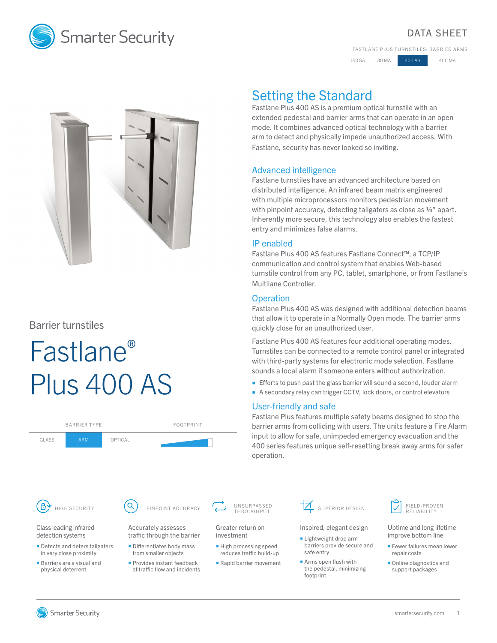

## DATA SHEET

FASTLANE PLUS TURNSTILES: BARRIER ARMS

150 SA 30 MA 400 AS 400 MA



## Barrier turnstiles

# Fastlane® Plus 400 AS

| <b>BARRIER TYPE</b>    |            |         | <b>FOOTPRINT</b>    |      |
|------------------------|------------|---------|---------------------|------|
| GLASS                  | <b>ARM</b> | OPTICAL |                     |      |
|                        |            |         |                     |      |
|                        |            |         |                     |      |
|                        |            |         |                     |      |
| 8<br>HIGH SECURITY     |            |         | PINPOINT ACCURACY   |      |
| Class leading infrared |            |         | Accurately assesses | Grea |

# Setting the Standard

Fastlane Plus 400 AS is a premium optical turnstile with an extended pedestal and barrier arms that can operate in an open mode. It combines advanced optical technology with a barrier arm to detect and physically impede unauthorized access. With Fastlane, security has never looked so inviting.

## Advanced intelligence

Fastlane turnstiles have an advanced architecture based on distributed intelligence. An infrared beam matrix engineered with multiple microprocessors monitors pedestrian movement with pinpoint accuracy, detecting tailgaters as close as 1/4" apart. Inherently more secure, this technology also enables the fastest entry and minimizes false alarms.

## IP enabled

Fastlane Plus 400 AS features Fastlane Connect™, a TCP/IP communication and control system that enables Web-based turnstile control from any PC, tablet, smartphone, or from Fastlane's Multilane Controller.

## **Operation**

Fastlane Plus 400 AS was designed with additional detection beams that allow it to operate in a Normally Open mode. The barrier arms quickly close for an unauthorized user.

Fastlane Plus 400 AS features four additional operating modes. Turnstiles can be connected to a remote control panel or integrated with third-party systems for electronic mode selection. Fastlane sounds a local alarm if someone enters without authorization.

- **Efforts to push past the glass barrier will sound a second, louder alarm**
- A secondary relay can trigger CCTV, lock doors, or control elevators

## User-friendly and safe

Fastlane Plus features multiple safety beams designed to stop the barrier arms from colliding with users. The units feature a Fire Alarm input to allow for safe, unimpeded emergency evacuation and the 400 series features unique self-resetting break away arms for safer operation.